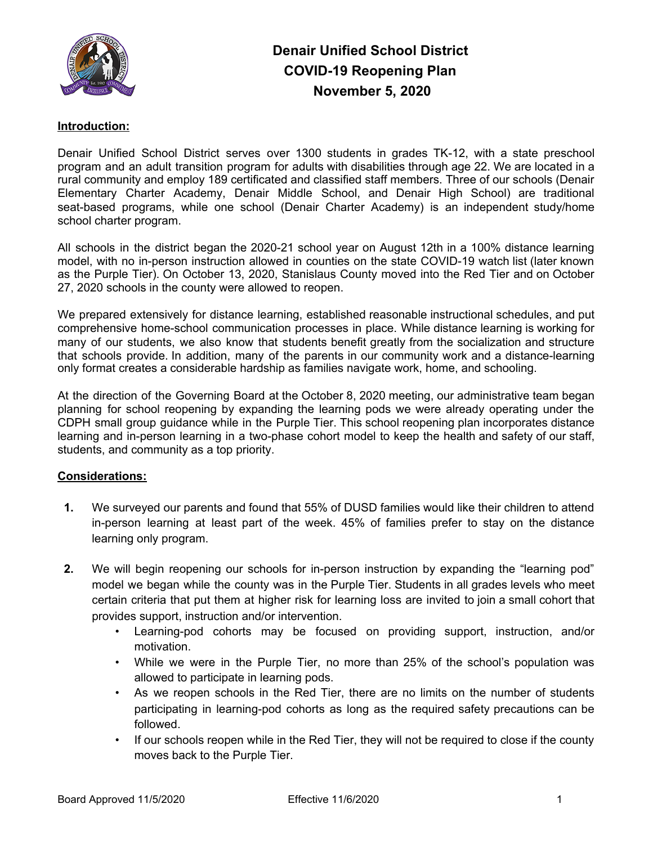

### **Introduction:**

Denair Unified School District serves over 1300 students in grades TK-12, with a state preschool program and an adult transition program for adults with disabilities through age 22. We are located in a rural community and employ 189 certificated and classified staff members. Three of our schools (Denair Elementary Charter Academy, Denair Middle School, and Denair High School) are traditional seat-based programs, while one school (Denair Charter Academy) is an independent study/home school charter program.

All schools in the district began the 2020-21 school year on August 12th in a 100% distance learning model, with no in-person instruction allowed in counties on the state COVID-19 watch list (later known as the Purple Tier). On October 13, 2020, Stanislaus County moved into the Red Tier and on October 27, 2020 schools in the county were allowed to reopen.

We prepared extensively for distance learning, established reasonable instructional schedules, and put comprehensive home-school communication processes in place. While distance learning is working for many of our students, we also know that students benefit greatly from the socialization and structure that schools provide. In addition, many of the parents in our community work and a distance-learning only format creates a considerable hardship as families navigate work, home, and schooling.

At the direction of the Governing Board at the October 8, 2020 meeting, our administrative team began planning for school reopening by expanding the learning pods we were already operating under the CDPH small group guidance while in the Purple Tier. This school reopening plan incorporates distance learning and in-person learning in a two-phase cohort model to keep the health and safety of our staff, students, and community as a top priority.

### **Considerations:**

- **1.** We surveyed our parents and found that 55% of DUSD families would like their children to attend in-person learning at least part of the week. 45% of families prefer to stay on the distance learning only program.
- **2.** We will begin reopening our schools for in-person instruction by expanding the "learning pod" model we began while the county was in the Purple Tier. Students in all grades levels who meet certain criteria that put them at higher risk for learning loss are invited to join a small cohort that provides support, instruction and/or intervention.
	- Learning-pod cohorts may be focused on providing support, instruction, and/or motivation.
	- While we were in the Purple Tier, no more than 25% of the school's population was allowed to participate in learning pods.
	- As we reopen schools in the Red Tier, there are no limits on the number of students participating in learning-pod cohorts as long as the required safety precautions can be followed.
	- If our schools reopen while in the Red Tier, they will not be required to close if the county moves back to the Purple Tier.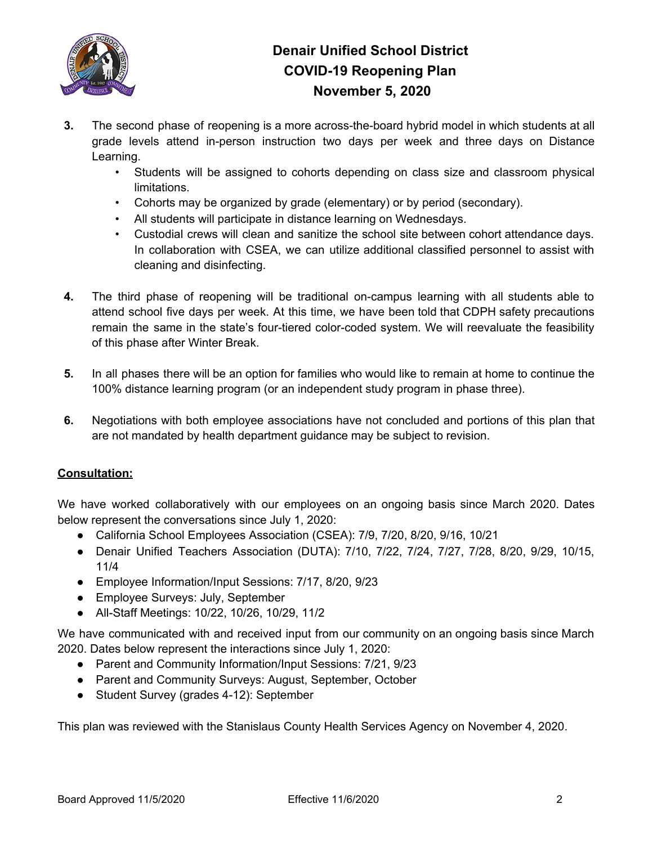

- **3.** The second phase of reopening is a more across-the-board hybrid model in which students at all grade levels attend in-person instruction two days per week and three days on Distance Learning.
	- Students will be assigned to cohorts depending on class size and classroom physical limitations.
	- Cohorts may be organized by grade (elementary) or by period (secondary).
	- All students will participate in distance learning on Wednesdays.
	- Custodial crews will clean and sanitize the school site between cohort attendance days. In collaboration with CSEA, we can utilize additional classified personnel to assist with cleaning and disinfecting.
- **4.** The third phase of reopening will be traditional on-campus learning with all students able to attend school five days per week. At this time, we have been told that CDPH safety precautions remain the same in the state's four-tiered color-coded system. We will reevaluate the feasibility of this phase after Winter Break.
- **5.** In all phases there will be an option for families who would like to remain at home to continue the 100% distance learning program (or an independent study program in phase three).
- **6.** Negotiations with both employee associations have not concluded and portions of this plan that are not mandated by health department guidance may be subject to revision.

## **Consultation:**

We have worked collaboratively with our employees on an ongoing basis since March 2020. Dates below represent the conversations since July 1, 2020:

- California School Employees Association (CSEA): 7/9, 7/20, 8/20, 9/16, 10/21
- Denair Unified Teachers Association (DUTA): 7/10, 7/22, 7/24, 7/27, 7/28, 8/20, 9/29, 10/15, 11/4
- Employee Information/Input Sessions: 7/17, 8/20, 9/23
- Employee Surveys: July, September
- All-Staff Meetings: 10/22, 10/26, 10/29, 11/2

We have communicated with and received input from our community on an ongoing basis since March 2020. Dates below represent the interactions since July 1, 2020:

- Parent and Community Information/Input Sessions: 7/21, 9/23
- Parent and Community Surveys: August, September, October
- Student Survey (grades 4-12): September

This plan was reviewed with the Stanislaus County Health Services Agency on November 4, 2020.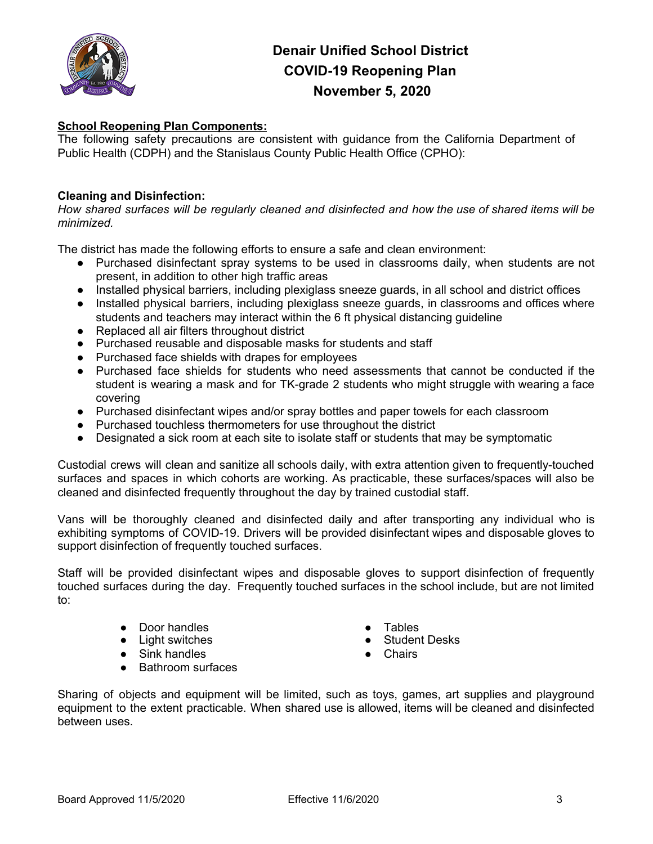

### **School Reopening Plan Components:**

The following safety precautions are consistent with guidance from the California Department of Public Health (CDPH) and the Stanislaus County Public Health Office (CPHO):

#### **Cleaning and Disinfection:**

How shared surfaces will be regularly cleaned and disinfected and how the use of shared items will be *minimized.*

The district has made the following efforts to ensure a safe and clean environment:

- Purchased disinfectant spray systems to be used in classrooms daily, when students are not present, in addition to other high traffic areas
- Installed physical barriers, including plexiglass sneeze guards, in all school and district offices
- Installed physical barriers, including plexiglass sneeze guards, in classrooms and offices where students and teachers may interact within the 6 ft physical distancing guideline
- Replaced all air filters throughout district
- Purchased reusable and disposable masks for students and staff
- Purchased face shields with drapes for employees
- Purchased face shields for students who need assessments that cannot be conducted if the student is wearing a mask and for TK-grade 2 students who might struggle with wearing a face covering
- Purchased disinfectant wipes and/or spray bottles and paper towels for each classroom
- Purchased touchless thermometers for use throughout the district
- Designated a sick room at each site to isolate staff or students that may be symptomatic

Custodial crews will clean and sanitize all schools daily, with extra attention given to frequently-touched surfaces and spaces in which cohorts are working. As practicable, these surfaces/spaces will also be cleaned and disinfected frequently throughout the day by trained custodial staff.

Vans will be thoroughly cleaned and disinfected daily and after transporting any individual who is exhibiting symptoms of COVID-19. Drivers will be provided disinfectant wipes and disposable gloves to support disinfection of frequently touched surfaces.

Staff will be provided disinfectant wipes and disposable gloves to support disinfection of frequently touched surfaces during the day. Frequently touched surfaces in the school include, but are not limited to:

- Door handles
- Light switches
- Sink handles
- Bathroom surfaces
- **Tables**
- Student Desks
- Chairs

Sharing of objects and equipment will be limited, such as toys, games, art supplies and playground equipment to the extent practicable. When shared use is allowed, items will be cleaned and disinfected between uses.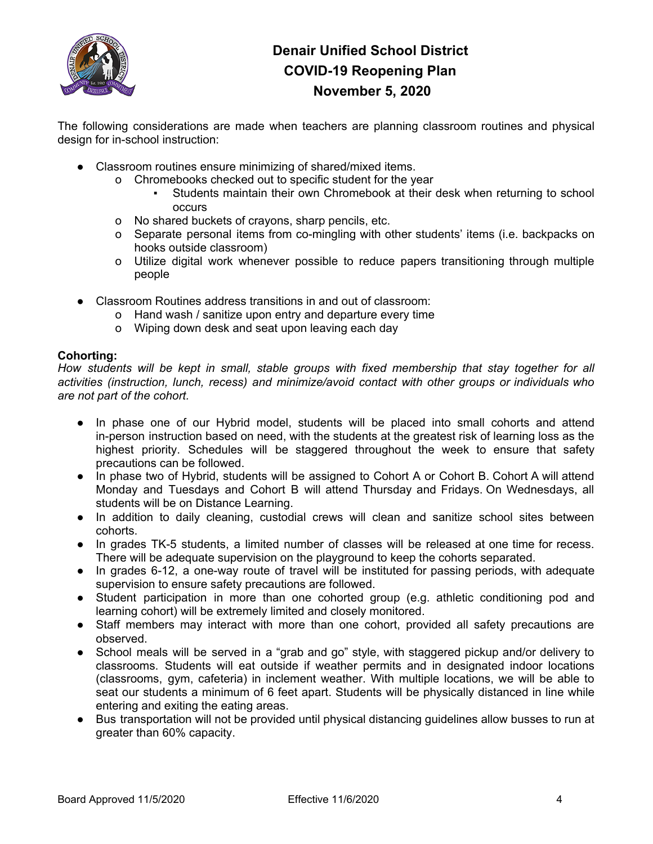

The following considerations are made when teachers are planning classroom routines and physical design for in-school instruction:

- Classroom routines ensure minimizing of shared/mixed items.
	- o Chromebooks checked out to specific student for the year
		- Students maintain their own Chromebook at their desk when returning to school occurs
	- o No shared buckets of crayons, sharp pencils, etc.
	- o Separate personal items from co-mingling with other students' items (i.e. backpacks on hooks outside classroom)
	- o Utilize digital work whenever possible to reduce papers transitioning through multiple people
- Classroom Routines address transitions in and out of classroom:
	- o Hand wash / sanitize upon entry and departure every time
	- o Wiping down desk and seat upon leaving each day

#### **Cohorting:**

*How students will be kept in small, stable groups with fixed membership that stay together for all activities (instruction, lunch, recess) and minimize/avoid contact with other groups or individuals who are not part of the cohort.*

- In phase one of our Hybrid model, students will be placed into small cohorts and attend in-person instruction based on need, with the students at the greatest risk of learning loss as the highest priority. Schedules will be staggered throughout the week to ensure that safety precautions can be followed.
- In phase two of Hybrid, students will be assigned to Cohort A or Cohort B. Cohort A will attend Monday and Tuesdays and Cohort B will attend Thursday and Fridays. On Wednesdays, all students will be on Distance Learning.
- In addition to daily cleaning, custodial crews will clean and sanitize school sites between cohorts.
- In grades TK-5 students, a limited number of classes will be released at one time for recess. There will be adequate supervision on the playground to keep the cohorts separated.
- In grades 6-12, a one-way route of travel will be instituted for passing periods, with adequate supervision to ensure safety precautions are followed.
- Student participation in more than one cohorted group (e.g. athletic conditioning pod and learning cohort) will be extremely limited and closely monitored.
- Staff members may interact with more than one cohort, provided all safety precautions are observed.
- School meals will be served in a "grab and go" style, with staggered pickup and/or delivery to classrooms. Students will eat outside if weather permits and in designated indoor locations (classrooms, gym, cafeteria) in inclement weather. With multiple locations, we will be able to seat our students a minimum of 6 feet apart. Students will be physically distanced in line while entering and exiting the eating areas.
- Bus transportation will not be provided until physical distancing guidelines allow busses to run at greater than 60% capacity.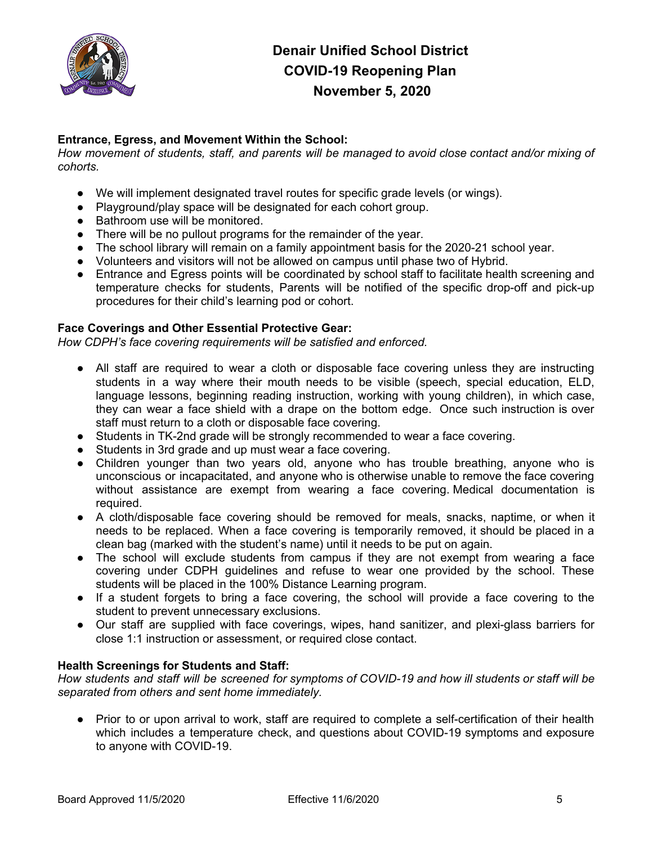

### **Entrance, Egress, and Movement Within the School:**

*How movement of students, staff, and parents will be managed to avoid close contact and/or mixing of cohorts.*

- We will implement designated travel routes for specific grade levels (or wings).
- Playground/play space will be designated for each cohort group.
- Bathroom use will be monitored.
- There will be no pullout programs for the remainder of the year.
- The school library will remain on a family appointment basis for the 2020-21 school year.
- Volunteers and visitors will not be allowed on campus until phase two of Hybrid.
- Entrance and Egress points will be coordinated by school staff to facilitate health screening and temperature checks for students, Parents will be notified of the specific drop-off and pick-up procedures for their child's learning pod or cohort.

### **Face Coverings and Other Essential Protective Gear:**

*How CDPH's face covering requirements will be satisfied and enforced.*

- All staff are required to wear a cloth or disposable face covering unless they are instructing students in a way where their mouth needs to be visible (speech, special education, ELD, language lessons, beginning reading instruction, working with young children), in which case, they can wear a face shield with a drape on the bottom edge. Once such instruction is over staff must return to a cloth or disposable face covering.
- Students in TK-2nd grade will be strongly recommended to wear a face covering.
- Students in 3rd grade and up must wear a face covering.
- Children younger than two years old, anyone who has trouble breathing, anyone who is unconscious or incapacitated, and anyone who is otherwise unable to remove the face covering without assistance are exempt from wearing a face covering. Medical documentation is required.
- A cloth/disposable face covering should be removed for meals, snacks, naptime, or when it needs to be replaced. When a face covering is temporarily removed, it should be placed in a clean bag (marked with the student's name) until it needs to be put on again.
- The school will exclude students from campus if they are not exempt from wearing a face covering under CDPH guidelines and refuse to wear one provided by the school. These students will be placed in the 100% Distance Learning program.
- If a student forgets to bring a face covering, the school will provide a face covering to the student to prevent unnecessary exclusions.
- Our staff are supplied with face coverings, wipes, hand sanitizer, and plexi-glass barriers for close 1:1 instruction or assessment, or required close contact.

### **Health Screenings for Students and Staff:**

How students and staff will be screened for symptoms of COVID-19 and how ill students or staff will be *separated from others and sent home immediately.*

• Prior to or upon arrival to work, staff are required to complete a self-certification of their health which includes a temperature check, and questions about COVID-19 symptoms and exposure to anyone with COVID-19.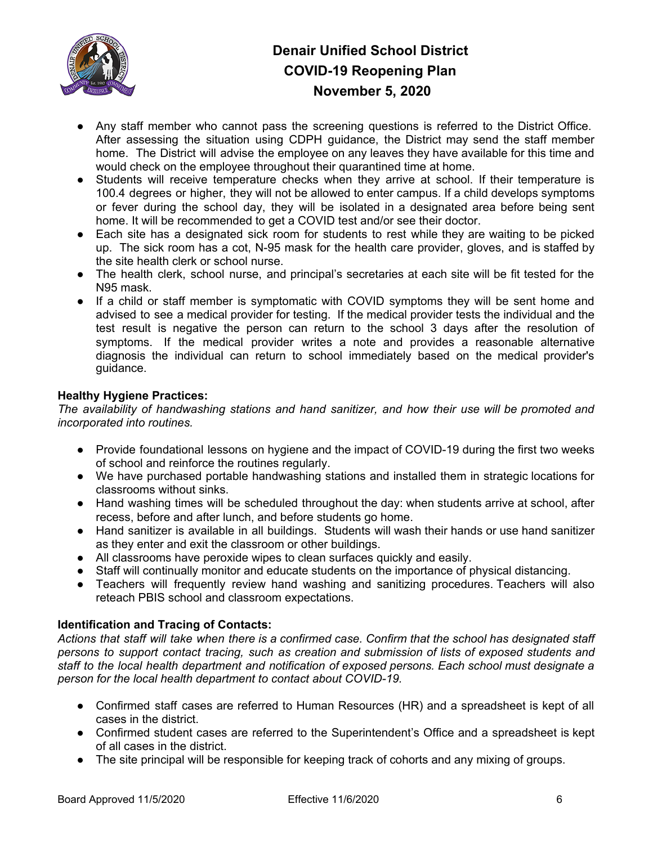

- Any staff member who cannot pass the screening questions is referred to the District Office. After assessing the situation using CDPH guidance, the District may send the staff member home. The District will advise the employee on any leaves they have available for this time and would check on the employee throughout their quarantined time at home.
- Students will receive temperature checks when they arrive at school. If their temperature is 100.4 degrees or higher, they will not be allowed to enter campus. If a child develops symptoms or fever during the school day, they will be isolated in a designated area before being sent home. It will be recommended to get a COVID test and/or see their doctor.
- Each site has a designated sick room for students to rest while they are waiting to be picked up. The sick room has a cot, N-95 mask for the health care provider, gloves, and is staffed by the site health clerk or school nurse.
- The health clerk, school nurse, and principal's secretaries at each site will be fit tested for the N95 mask.
- If a child or staff member is symptomatic with COVID symptoms they will be sent home and advised to see a medical provider for testing. If the medical provider tests the individual and the test result is negative the person can return to the school 3 days after the resolution of symptoms. If the medical provider writes a note and provides a reasonable alternative diagnosis the individual can return to school immediately based on the medical provider's guidance.

## **Healthy Hygiene Practices:**

*The availability of handwashing stations and hand sanitizer, and how their use will be promoted and incorporated into routines.*

- Provide foundational lessons on hygiene and the impact of COVID-19 during the first two weeks of school and reinforce the routines regularly.
- We have purchased portable handwashing stations and installed them in strategic locations for classrooms without sinks.
- Hand washing times will be scheduled throughout the day: when students arrive at school, after recess, before and after lunch, and before students go home.
- Hand sanitizer is available in all buildings. Students will wash their hands or use hand sanitizer as they enter and exit the classroom or other buildings.
- All classrooms have peroxide wipes to clean surfaces quickly and easily.
- Staff will continually monitor and educate students on the importance of physical distancing.
- Teachers will frequently review hand washing and sanitizing procedures. Teachers will also reteach PBIS school and classroom expectations.

### **Identification and Tracing of Contacts:**

Actions that staff will take when there is a confirmed case. Confirm that the school has designated staff *persons to support contact tracing, such as creation and submission of lists of exposed students and staff to the local health department and notification of exposed persons. Each school must designate a person for the local health department to contact about COVID-19.*

- Confirmed staff cases are referred to Human Resources (HR) and a spreadsheet is kept of all cases in the district.
- Confirmed student cases are referred to the Superintendent's Office and a spreadsheet is kept of all cases in the district.
- The site principal will be responsible for keeping track of cohorts and any mixing of groups.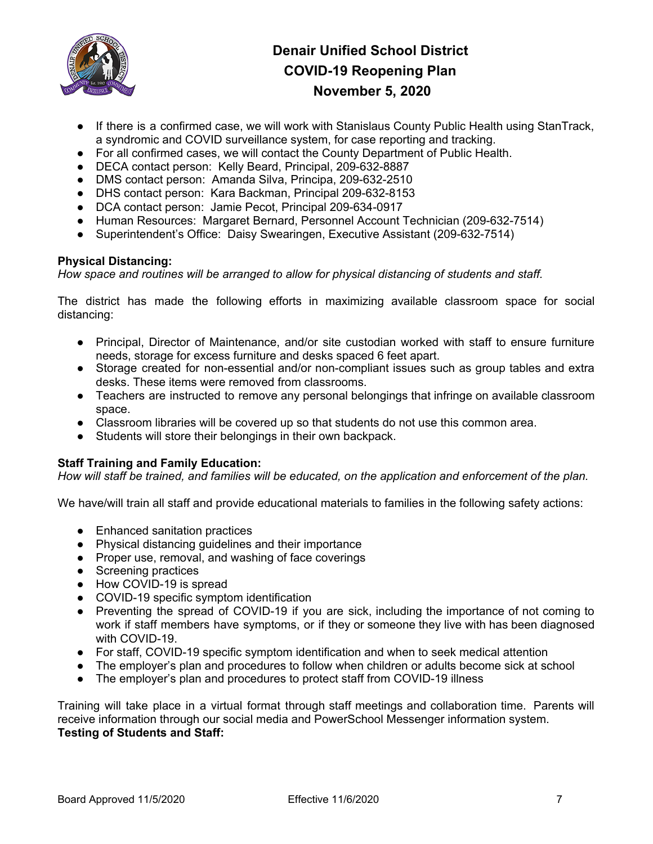

- If there is a confirmed case, we will work with Stanislaus County Public Health using StanTrack, a syndromic and COVID surveillance system, for case reporting and tracking.
- For all confirmed cases, we will contact the County Department of Public Health.
- DECA contact person: Kelly Beard, Principal, 209-632-8887
- DMS contact person: Amanda Silva, Principa, 209-632-2510
- DHS contact person: Kara Backman, Principal 209-632-8153
- DCA contact person: Jamie Pecot, Principal 209-634-0917
- Human Resources: Margaret Bernard, Personnel Account Technician (209-632-7514)
- Superintendent's Office: Daisy Swearingen, Executive Assistant (209-632-7514)

### **Physical Distancing:**

*How space and routines will be arranged to allow for physical distancing of students and staff.*

The district has made the following efforts in maximizing available classroom space for social distancing:

- Principal, Director of Maintenance, and/or site custodian worked with staff to ensure furniture needs, storage for excess furniture and desks spaced 6 feet apart.
- Storage created for non-essential and/or non-compliant issues such as group tables and extra desks. These items were removed from classrooms.
- Teachers are instructed to remove any personal belongings that infringe on available classroom space.
- Classroom libraries will be covered up so that students do not use this common area.
- Students will store their belongings in their own backpack.

### **Staff Training and Family Education:**

How will staff be trained, and families will be educated, on the application and enforcement of the plan.

We have/will train all staff and provide educational materials to families in the following safety actions:

- Enhanced sanitation practices
- Physical distancing guidelines and their importance
- Proper use, removal, and washing of face coverings
- Screening practices
- How COVID-19 is spread
- COVID-19 specific symptom identification
- Preventing the spread of COVID-19 if you are sick, including the importance of not coming to work if staff members have symptoms, or if they or someone they live with has been diagnosed with COVID-19.
- For staff, COVID-19 specific symptom identification and when to seek medical attention
- The employer's plan and procedures to follow when children or adults become sick at school
- The employer's plan and procedures to protect staff from COVID-19 illness

Training will take place in a virtual format through staff meetings and collaboration time. Parents will receive information through our social media and PowerSchool Messenger information system. **Testing of Students and Staff:**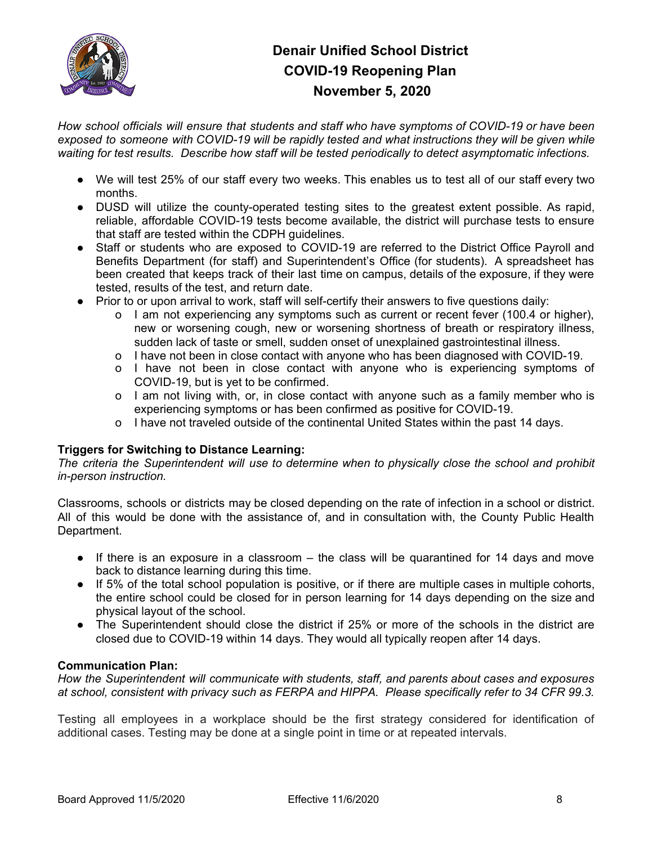

*How school officials will ensure that students and staff who have symptoms of COVID-19 or have been exposed to someone with COVID-19 will be rapidly tested and what instructions they will be given while waiting for test results. Describe how staff will be tested periodically to detect asymptomatic infections.*

- We will test 25% of our staff every two weeks. This enables us to test all of our staff every two months.
- DUSD will utilize the county-operated testing sites to the greatest extent possible. As rapid, reliable, affordable COVID-19 tests become available, the district will purchase tests to ensure that staff are tested within the CDPH guidelines.
- Staff or students who are exposed to COVID-19 are referred to the District Office Payroll and Benefits Department (for staff) and Superintendent's Office (for students). A spreadsheet has been created that keeps track of their last time on campus, details of the exposure, if they were tested, results of the test, and return date.
- Prior to or upon arrival to work, staff will self-certify their answers to five questions daily:
	- o I am not experiencing any symptoms such as current or recent fever (100.4 or higher), new or worsening cough, new or worsening shortness of breath or respiratory illness, sudden lack of taste or smell, sudden onset of unexplained gastrointestinal illness.
	- o I have not been in close contact with anyone who has been diagnosed with COVID-19.
	- o I have not been in close contact with anyone who is experiencing symptoms of COVID-19, but is yet to be confirmed.
	- o I am not living with, or, in close contact with anyone such as a family member who is experiencing symptoms or has been confirmed as positive for COVID-19.
	- o I have not traveled outside of the continental United States within the past 14 days.

### **Triggers for Switching to Distance Learning:**

*The criteria the Superintendent will use to determine when to physically close the school and prohibit in-person instruction.*

Classrooms, schools or districts may be closed depending on the rate of infection in a school or district. All of this would be done with the assistance of, and in consultation with, the County Public Health Department.

- If there is an exposure in a classroom the class will be quarantined for 14 days and move back to distance learning during this time.
- If 5% of the total school population is positive, or if there are multiple cases in multiple cohorts, the entire school could be closed for in person learning for 14 days depending on the size and physical layout of the school.
- The Superintendent should close the district if 25% or more of the schools in the district are closed due to COVID-19 within 14 days. They would all typically reopen after 14 days.

#### **Communication Plan:**

*How the Superintendent will communicate with students, staff, and parents about cases and exposures at school, consistent with privacy such as FERPA and HIPPA. Please specifically refer to 34 CFR 99.3.*

Testing all employees in a workplace should be the first strategy considered for identification of additional cases. Testing may be done at a single point in time or at repeated intervals.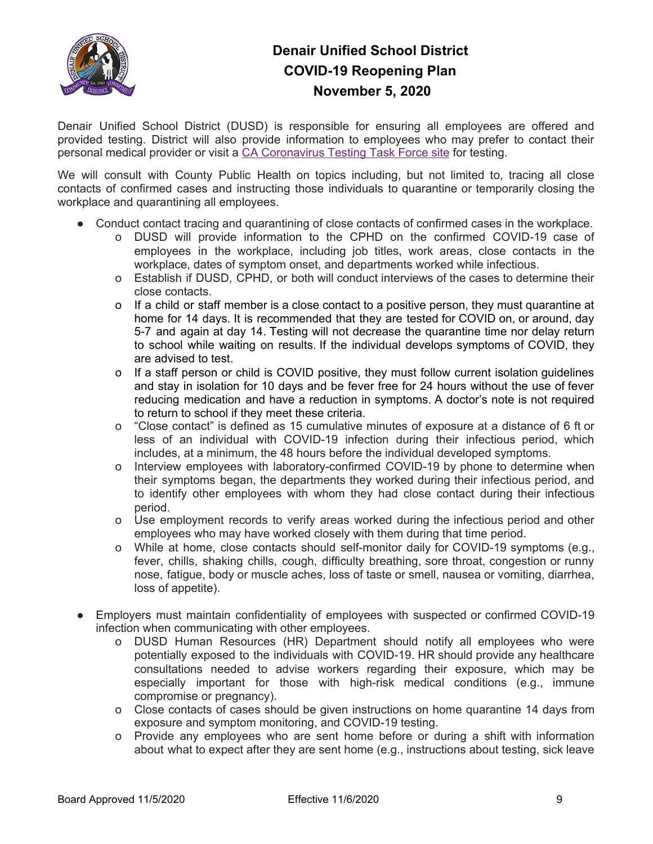

Denair Unified School District (DUSD) is responsible for ensuring all employees are offered and provided testing. District will also provide information to employees who may prefer to contact their personal medical provider or visit a CA [Coronavirus](https://testing.covid19.ca.gov/) Testing Task Force site for testing.

We will consult with County Public Health on topics including, but not limited to, tracing all close contacts of confirmed cases and instructing those individuals to quarantine or temporarily closing the workplace and quarantining all employees.

- Conduct contact tracing and quarantining of close contacts of confirmed cases in the workplace.
	- o DUSD will provide information to the CPHD on the confirmed COVID-19 case of employees in the workplace, including job titles, work areas, close contacts in the workplace, dates of symptom onset, and departments worked while infectious.
	- o Establish if DUSD, CPHD, or both will conduct interviews of the cases to determine their close contacts.
	- o If a child or staff member is a close contact to a positive person, they must quarantine at home for 14 days. It is recommended that they are tested for COVID on, or around, day 5-7 and again at day 14. Testing will not decrease the quarantine time nor delay return to school while waiting on results. If the individual develops symptoms of COVID, they are advised to test.
	- o If a staff person or child is COVID positive, they must follow current isolation guidelines and stay in isolation for 10 days and be fever free for 24 hours without the use of fever reducing medication and have a reduction in symptoms. A doctor's note is not required to return to school if they meet these criteria.
	- o "Close contact" is defined as 15 cumulative minutes of exposure at a distance of 6 ft or less of an individual with COVID-19 infection during their infectious period, which includes, at a minimum, the 48 hours before the individual developed symptoms.
	- o Interview employees with laboratory-confirmed COVID-19 by phone to determine when their symptoms began, the departments they worked during their infectious period, and to identify other employees with whom they had close contact during their infectious period.
	- o Use employment records to verify areas worked during the infectious period and other employees who may have worked closely with them during that time period.
	- o While at home, close contacts should self-monitor daily for COVID-19 symptoms (e.g., fever, chills, shaking chills, cough, difficulty breathing, sore throat, congestion or runny nose, fatigue, body or muscle aches, loss of taste or smell, nausea or vomiting, diarrhea, loss of appetite).
- Employers must maintain confidentiality of employees with suspected or confirmed COVID-19 infection when communicating with other employees.
	- o DUSD Human Resources (HR) Department should notify all employees who were potentially exposed to the individuals with COVID-19. HR should provide any healthcare consultations needed to advise workers regarding their exposure, which may be especially important for those with high-risk medical conditions (e.g., immune compromise or pregnancy).
	- o Close contacts of cases should be given instructions on home quarantine 14 days from exposure and symptom monitoring, and COVID-19 testing.
	- o Provide any employees who are sent home before or during a shift with information about what to expect after they are sent home (e.g., instructions about testing, sick leave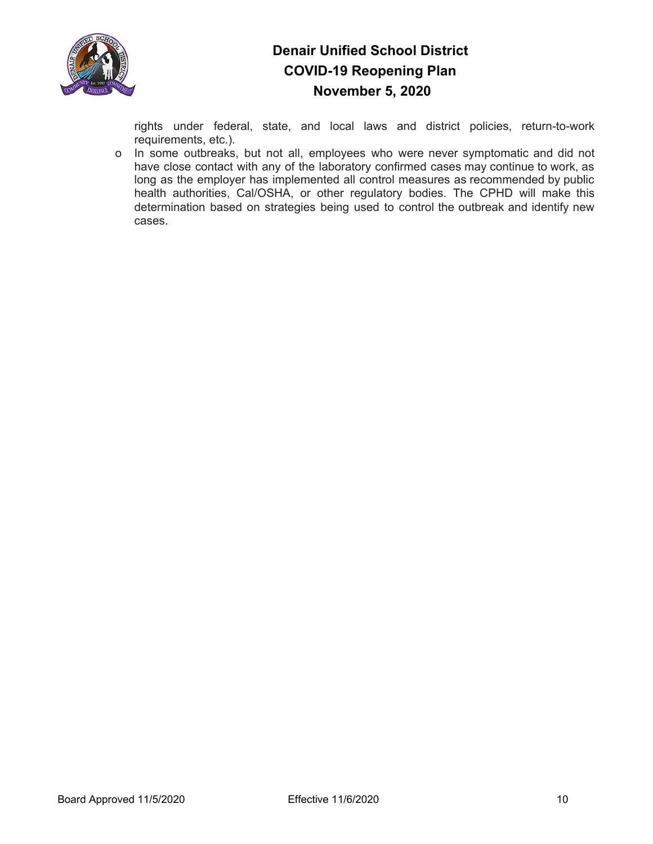

rights under federal, state, and local laws and district policies, return-to-work requirements, etc.).

o In some outbreaks, but not all, employees who were never symptomatic and did not have close contact with any of the laboratory confirmed cases may continue to work, as long as the employer has implemented all control measures as recommended by public health authorities, Cal/OSHA, or other regulatory bodies. The CPHD will make this determination based on strategies being used to control the outbreak and identify new cases.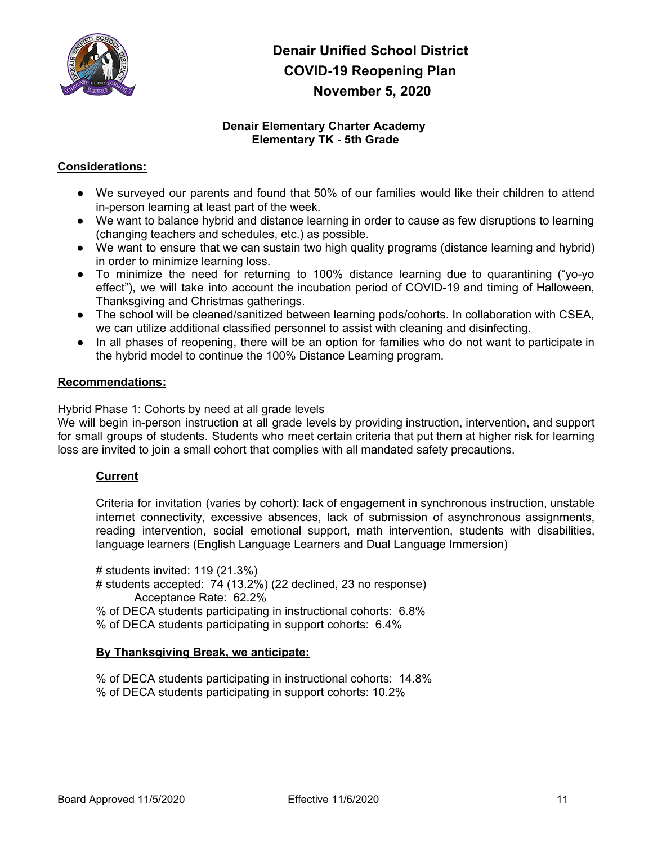

### **Denair Elementary Charter Academy Elementary TK - 5th Grade**

### **Considerations:**

- We surveyed our parents and found that 50% of our families would like their children to attend in-person learning at least part of the week.
- We want to balance hybrid and distance learning in order to cause as few disruptions to learning (changing teachers and schedules, etc.) as possible.
- We want to ensure that we can sustain two high quality programs (distance learning and hybrid) in order to minimize learning loss.
- To minimize the need for returning to 100% distance learning due to quarantining ("yo-yo effect"), we will take into account the incubation period of COVID-19 and timing of Halloween, Thanksgiving and Christmas gatherings.
- The school will be cleaned/sanitized between learning pods/cohorts. In collaboration with CSEA, we can utilize additional classified personnel to assist with cleaning and disinfecting.
- In all phases of reopening, there will be an option for families who do not want to participate in the hybrid model to continue the 100% Distance Learning program.

#### **Recommendations:**

Hybrid Phase 1: Cohorts by need at all grade levels

We will begin in-person instruction at all grade levels by providing instruction, intervention, and support for small groups of students. Students who meet certain criteria that put them at higher risk for learning loss are invited to join a small cohort that complies with all mandated safety precautions.

### **Current**

Criteria for invitation (varies by cohort): lack of engagement in synchronous instruction, unstable internet connectivity, excessive absences, lack of submission of asynchronous assignments, reading intervention, social emotional support, math intervention, students with disabilities, language learners (English Language Learners and Dual Language Immersion)

# students invited: 119 (21.3%) # students accepted: 74 (13.2%) (22 declined, 23 no response) Acceptance Rate: 62.2% % of DECA students participating in instructional cohorts: 6.8% % of DECA students participating in support cohorts: 6.4%

#### **By Thanksgiving Break, we anticipate:**

% of DECA students participating in instructional cohorts: 14.8% % of DECA students participating in support cohorts: 10.2%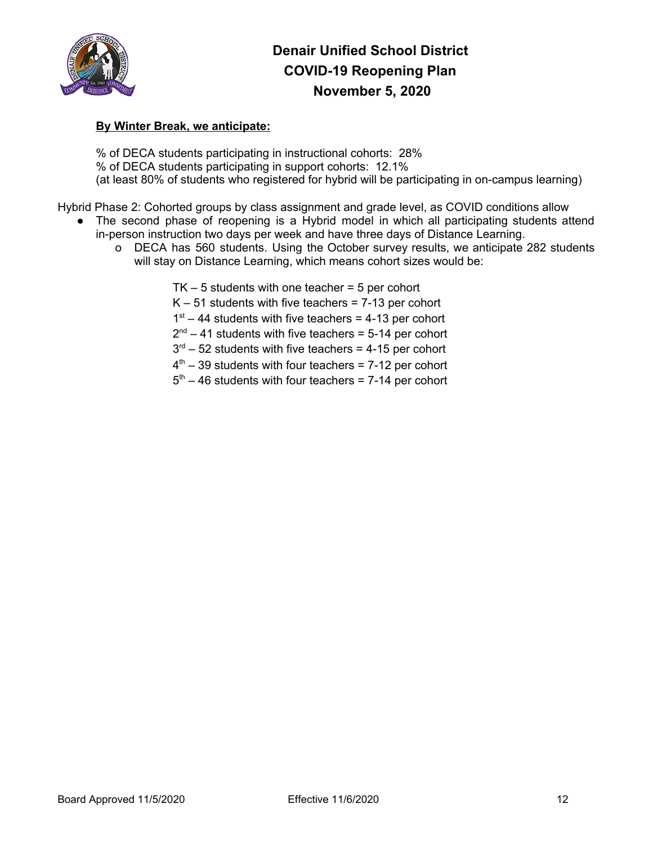

### **By Winter Break, we anticipate:**

% of DECA students participating in instructional cohorts: 28% % of DECA students participating in support cohorts: 12.1% (at least 80% of students who registered for hybrid will be participating in on-campus learning)

Hybrid Phase 2: Cohorted groups by class assignment and grade level, as COVID conditions allow

- The second phase of reopening is a Hybrid model in which all participating students attend in-person instruction two days per week and have three days of Distance Learning.
	- o DECA has 560 students. Using the October survey results, we anticipate 282 students will stay on Distance Learning, which means cohort sizes would be:

 $TK - 5$  students with one teacher =  $5$  per cohort

 $K - 51$  students with five teachers = 7-13 per cohort

 $1<sup>st</sup> - 44$  students with five teachers = 4-13 per cohort

 $2<sup>nd</sup> - 41$  students with five teachers = 5-14 per cohort

 $3<sup>rd</sup> - 52$  students with five teachers = 4-15 per cohort

- $4<sup>th</sup>$  39 students with four teachers = 7-12 per cohort
- $5<sup>th</sup>$  46 students with four teachers = 7-14 per cohort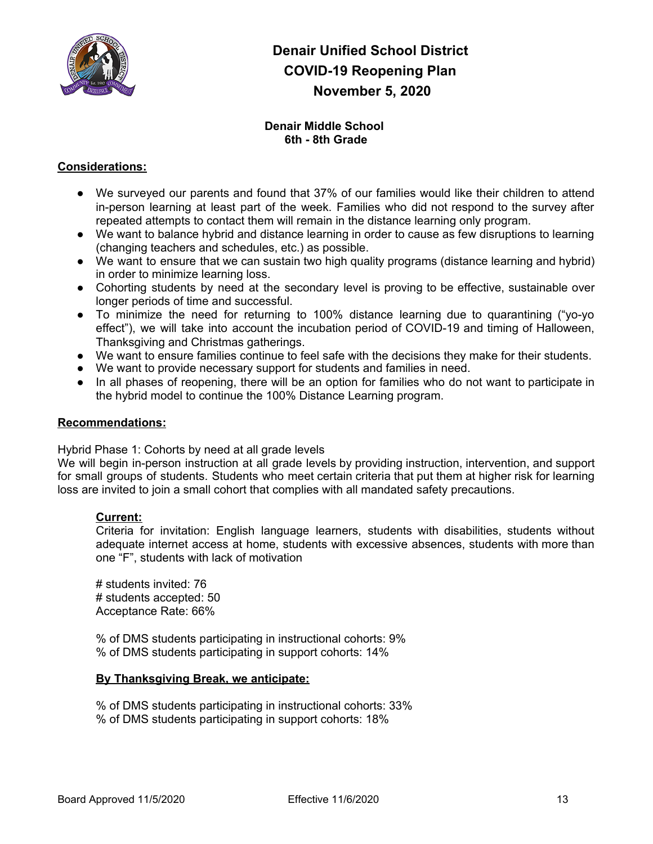

### **Denair Middle School 6th - 8th Grade**

### **Considerations:**

- We surveyed our parents and found that 37% of our families would like their children to attend in-person learning at least part of the week. Families who did not respond to the survey after repeated attempts to contact them will remain in the distance learning only program.
- We want to balance hybrid and distance learning in order to cause as few disruptions to learning (changing teachers and schedules, etc.) as possible.
- We want to ensure that we can sustain two high quality programs (distance learning and hybrid) in order to minimize learning loss.
- Cohorting students by need at the secondary level is proving to be effective, sustainable over longer periods of time and successful.
- To minimize the need for returning to 100% distance learning due to quarantining ("yo-yo effect"), we will take into account the incubation period of COVID-19 and timing of Halloween, Thanksgiving and Christmas gatherings.
- We want to ensure families continue to feel safe with the decisions they make for their students.
- We want to provide necessary support for students and families in need.
- In all phases of reopening, there will be an option for families who do not want to participate in the hybrid model to continue the 100% Distance Learning program.

#### **Recommendations:**

Hybrid Phase 1: Cohorts by need at all grade levels

We will begin in-person instruction at all grade levels by providing instruction, intervention, and support for small groups of students. Students who meet certain criteria that put them at higher risk for learning loss are invited to join a small cohort that complies with all mandated safety precautions.

#### **Current:**

Criteria for invitation: English language learners, students with disabilities, students without adequate internet access at home, students with excessive absences, students with more than one "F", students with lack of motivation

# students invited: 76 # students accepted: 50 Acceptance Rate: 66%

% of DMS students participating in instructional cohorts: 9% % of DMS students participating in support cohorts: 14%

#### **By Thanksgiving Break, we anticipate:**

% of DMS students participating in instructional cohorts: 33% % of DMS students participating in support cohorts: 18%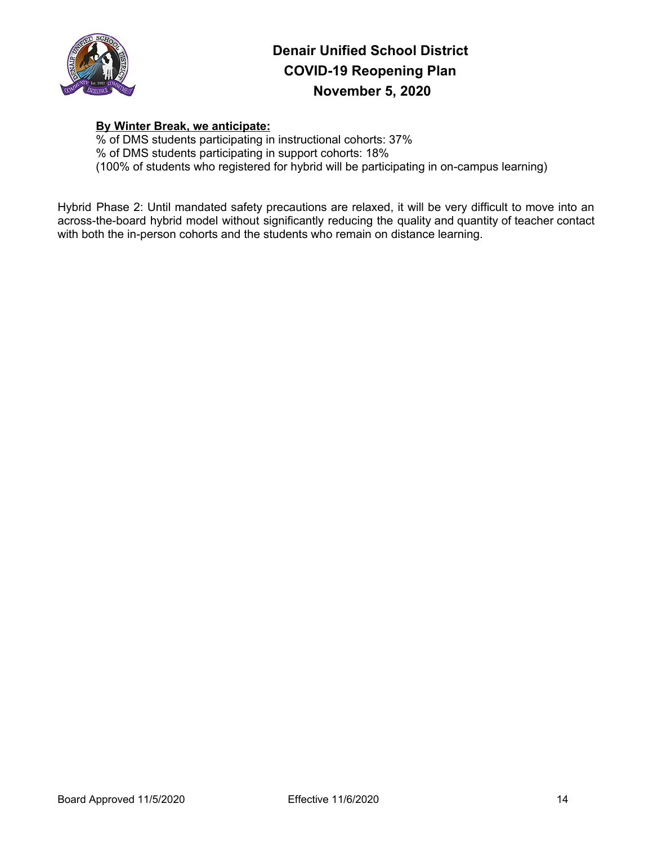

### **By Winter Break, we anticipate:**

% of DMS students participating in instructional cohorts: 37% % of DMS students participating in support cohorts: 18% (100% of students who registered for hybrid will be participating in on-campus learning)

Hybrid Phase 2: Until mandated safety precautions are relaxed, it will be very difficult to move into an across-the-board hybrid model without significantly reducing the quality and quantity of teacher contact with both the in-person cohorts and the students who remain on distance learning.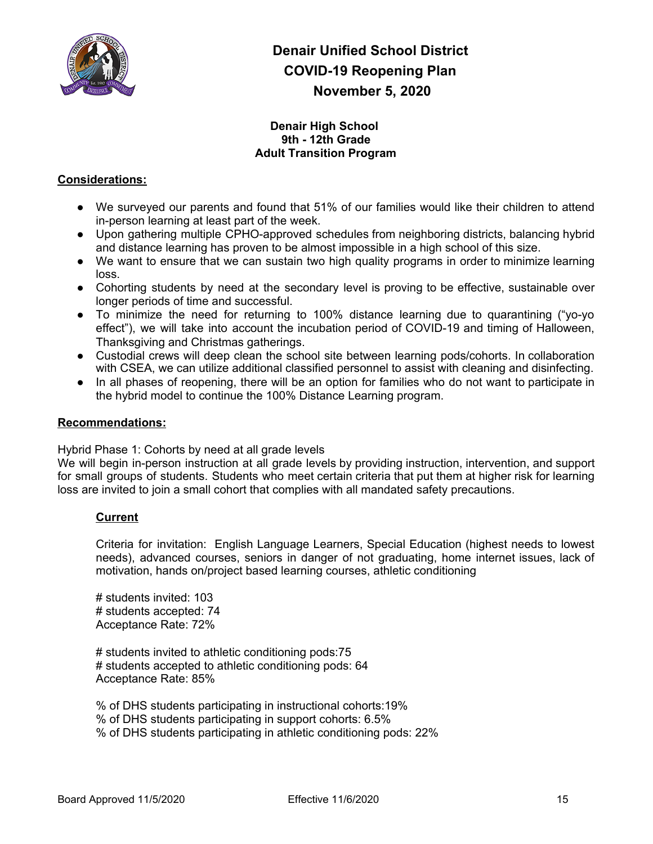

#### **Denair High School 9th - 12th Grade Adult Transition Program**

### **Considerations:**

- We surveyed our parents and found that 51% of our families would like their children to attend in-person learning at least part of the week.
- Upon gathering multiple CPHO-approved schedules from neighboring districts, balancing hybrid and distance learning has proven to be almost impossible in a high school of this size.
- We want to ensure that we can sustain two high quality programs in order to minimize learning loss.
- Cohorting students by need at the secondary level is proving to be effective, sustainable over longer periods of time and successful.
- To minimize the need for returning to 100% distance learning due to quarantining ("yo-yo effect"), we will take into account the incubation period of COVID-19 and timing of Halloween, Thanksgiving and Christmas gatherings.
- Custodial crews will deep clean the school site between learning pods/cohorts. In collaboration with CSEA, we can utilize additional classified personnel to assist with cleaning and disinfecting.
- In all phases of reopening, there will be an option for families who do not want to participate in the hybrid model to continue the 100% Distance Learning program.

#### **Recommendations:**

Hybrid Phase 1: Cohorts by need at all grade levels

We will begin in-person instruction at all grade levels by providing instruction, intervention, and support for small groups of students. Students who meet certain criteria that put them at higher risk for learning loss are invited to join a small cohort that complies with all mandated safety precautions.

### **Current**

Criteria for invitation: English Language Learners, Special Education (highest needs to lowest needs), advanced courses, seniors in danger of not graduating, home internet issues, lack of motivation, hands on/project based learning courses, athletic conditioning

# students invited: 103 # students accepted: 74 Acceptance Rate: 72%

# students invited to athletic conditioning pods:75 # students accepted to athletic conditioning pods: 64 Acceptance Rate: 85%

% of DHS students participating in instructional cohorts:19% % of DHS students participating in support cohorts: 6.5% % of DHS students participating in athletic conditioning pods: 22%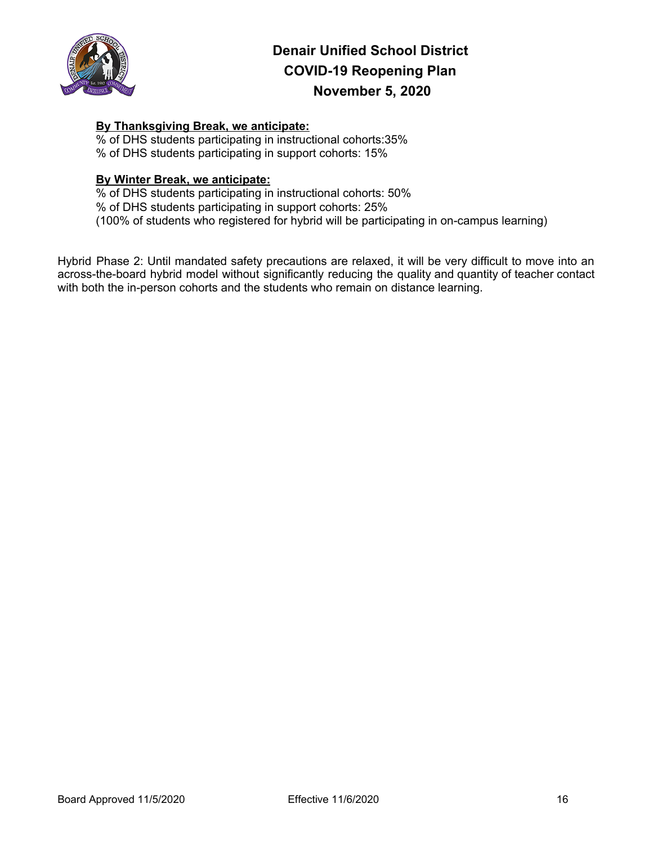

### **By Thanksgiving Break, we anticipate:**

% of DHS students participating in instructional cohorts:35% % of DHS students participating in support cohorts: 15%

#### **By Winter Break, we anticipate:**

% of DHS students participating in instructional cohorts: 50% % of DHS students participating in support cohorts: 25% (100% of students who registered for hybrid will be participating in on-campus learning)

Hybrid Phase 2: Until mandated safety precautions are relaxed, it will be very difficult to move into an across-the-board hybrid model without significantly reducing the quality and quantity of teacher contact with both the in-person cohorts and the students who remain on distance learning.